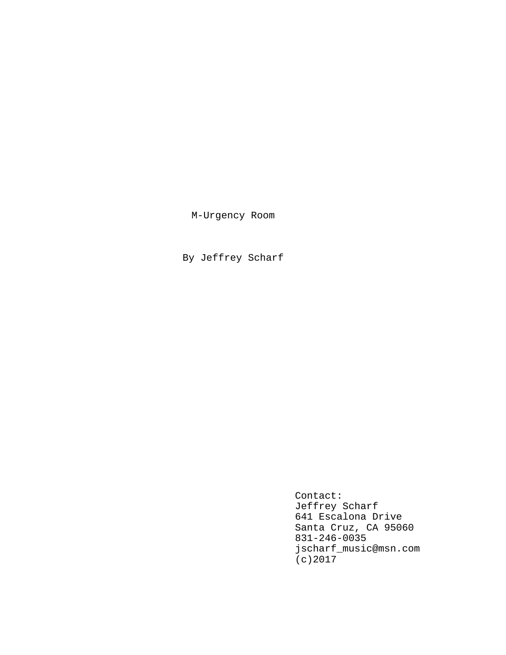M-Urgency Room

By Jeffrey Scharf

Contact: Jeffrey Scharf 641 Escalona Drive Santa Cruz, CA 95060 831-246-0035 jscharf\_music@msn.com (c)2017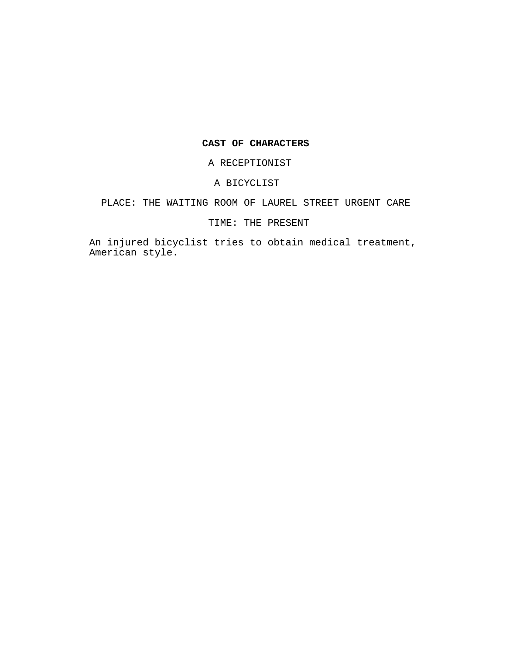# **CAST OF CHARACTERS**

A RECEPTIONIST

# A BICYCLIST

# PLACE: THE WAITING ROOM OF LAUREL STREET URGENT CARE

# TIME: THE PRESENT

An injured bicyclist tries to obtain medical treatment, American style.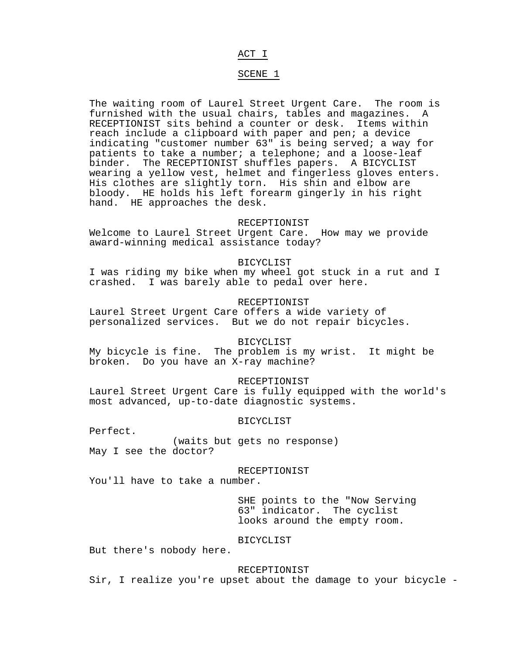# ACT I

# SCENE 1

The waiting room of Laurel Street Urgent Care. The room is furnished with the usual chairs, tables and magazines. A RECEPTIONIST sits behind a counter or desk. Items within reach include a clipboard with paper and pen; a device indicating "customer number 63" is being served; a way for patients to take a number; a telephone; and a loose-leaf binder. The RECEPTIONIST shuffles papers. A BICYCLIST wearing a yellow vest, helmet and fingerless gloves enters. His clothes are slightly torn. His shin and elbow are bloody. HE holds his left forearm gingerly in his right hand. HE approaches the desk.

### RECEPTIONIST

Welcome to Laurel Street Urgent Care. How may we provide award-winning medical assistance today?

#### BICYCLIST

I was riding my bike when my wheel got stuck in a rut and I crashed. I was barely able to pedal over here.

# RECEPTIONIST

Laurel Street Urgent Care offers a wide variety of personalized services. But we do not repair bicycles.

## BICYCLIST

My bicycle is fine. The problem is my wrist. It might be broken. Do you have an X-ray machine?

## RECEPTIONIST

Laurel Street Urgent Care is fully equipped with the world's most advanced, up-to-date diagnostic systems.

## BICYCLIST

Perfect.

(waits but gets no response) May I see the doctor?

#### RECEPTIONIST

You'll have to take a number.

SHE points to the "Now Serving 63" indicator. The cyclist looks around the empty room.

### BICYCLIST

But there's nobody here.

### RECEPTIONIST

Sir, I realize you're upset about the damage to your bicycle -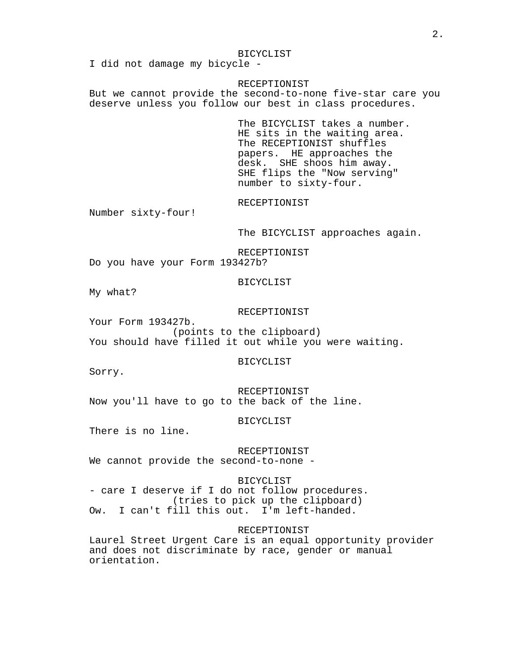#### BICYCLIST

I did not damage my bicycle -

#### RECEPTIONIST

But we cannot provide the second-to-none five-star care you deserve unless you follow our best in class procedures.

> The BICYCLIST takes a number. HE sits in the waiting area. The RECEPTIONIST shuffles papers. HE approaches the desk. SHE shoos him away. SHE flips the "Now serving" number to sixty-four.

RECEPTIONIST

Number sixty-four!

The BICYCLIST approaches again.

RECEPTIONIST

Do you have your Form 193427b?

# BICYCLIST

My what?

#### RECEPTIONIST

Your Form 193427b. (points to the clipboard) You should have filled it out while you were waiting.

#### BICYCLIST

Sorry.

RECEPTIONIST Now you'll have to go to the back of the line.

## BICYCLIST

There is no line.

RECEPTIONIST We cannot provide the second-to-none -

BICYCLIST - care I deserve if I do not follow procedures. (tries to pick up the clipboard) Ow. I can't fill this out. I'm left-handed.

### RECEPTIONIST

Laurel Street Urgent Care is an equal opportunity provider and does not discriminate by race, gender or manual orientation.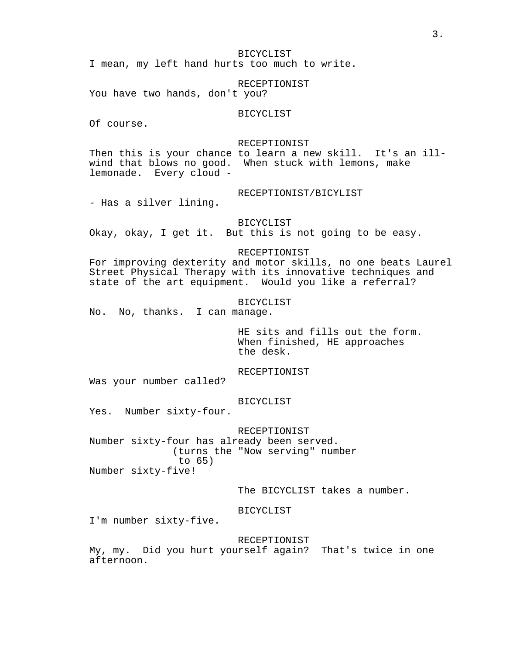BICYCLIST

I mean, my left hand hurts too much to write.

RECEPTIONIST

You have two hands, don't you?

# BICYCLIST

Of course.

#### RECEPTIONIST

Then this is your chance to learn a new skill. It's an illwind that blows no good. When stuck with lemons, make lemonade. Every cloud -

RECEPTIONIST/BICYLIST

- Has a silver lining.

# BICYCLIST

Okay, okay, I get it. But this is not going to be easy.

# RECEPTIONIST

For improving dexterity and motor skills, no one beats Laurel Street Physical Therapy with its innovative techniques and state of the art equipment. Would you like a referral?

### BICYCLIST

No. No, thanks. I can manage.

HE sits and fills out the form. When finished, HE approaches the desk.

RECEPTIONIST

Was your number called?

BICYCLIST

Yes. Number sixty-four.

RECEPTIONIST Number sixty-four has already been served. (turns the "Now serving" number to 65) Number sixty-five!

The BICYCLIST takes a number.

BICYCLIST

I'm number sixty-five.

RECEPTIONIST

My, my. Did you hurt yourself again? That's twice in one afternoon.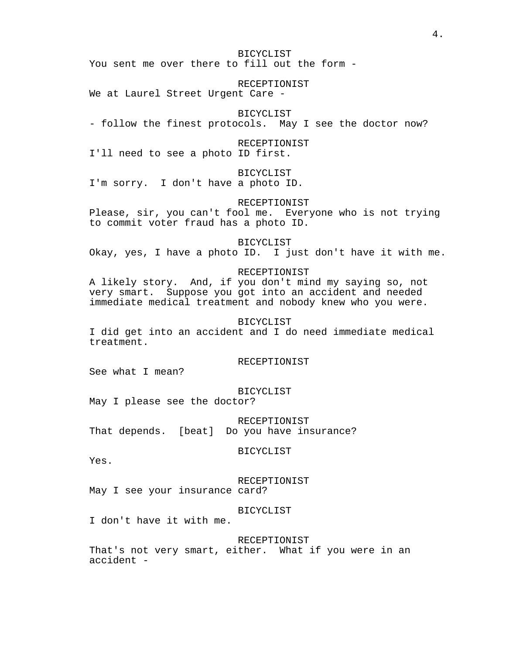BICYCLIST You sent me over there to fill out the form -

RECEPTIONIST We at Laurel Street Urgent Care -

BICYCLIST

- follow the finest protocols. May I see the doctor now?

RECEPTIONIST

I'll need to see a photo ID first.

BICYCLIST

I'm sorry. I don't have a photo ID.

RECEPTIONIST

Please, sir, you can't fool me. Everyone who is not trying to commit voter fraud has a photo ID.

BICYCLIST

Okay, yes, I have a photo ID. I just don't have it with me.

### RECEPTIONIST

A likely story. And, if you don't mind my saying so, not very smart. Suppose you got into an accident and needed immediate medical treatment and nobody knew who you were.

# BICYCLIST

I did get into an accident and I do need immediate medical treatment.

### RECEPTIONIST

See what I mean?

# BICYCLIST

May I please see the doctor?

RECEPTIONIST That depends. [beat] Do you have insurance?

BICYCLIST

Yes.

RECEPTIONIST

May I see your insurance card?

BICYCLIST

I don't have it with me.

#### RECEPTIONIST

That's not very smart, either. What if you were in an accident -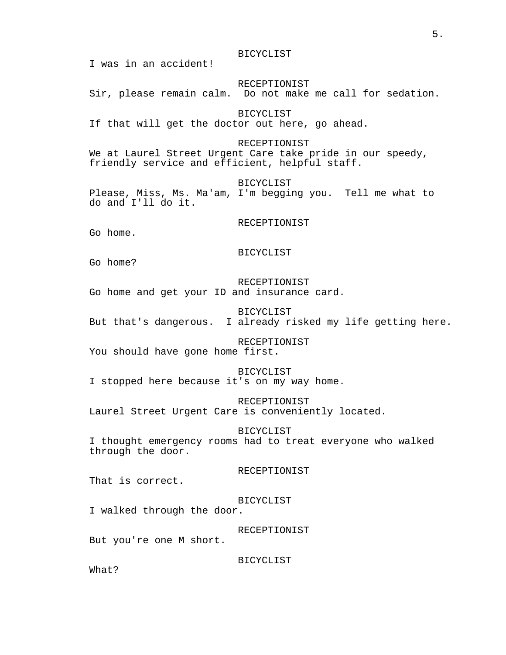RECEPTIONIST Sir, please remain calm. Do not make me call for sedation. BICYCLIST If that will get the doctor out here, go ahead. RECEPTIONIST We at Laurel Street Urgent Care take pride in our speedy, friendly service and efficient, helpful staff. BICYCLIST Please, Miss, Ms. Ma'am, I'm begging you. Tell me what to do and I'll do it. RECEPTIONIST Go home. BICYCLIST Go home? RECEPTIONIST Go home and get your ID and insurance card. BICYCLIST But that's dangerous. I already risked my life getting here. RECEPTIONIST You should have gone home first. BICYCLIST I stopped here because it's on my way home. RECEPTIONIST Laurel Street Urgent Care is conveniently located. BICYCLIST I thought emergency rooms had to treat everyone who walked through the door. RECEPTIONIST That is correct. BICYCLIST I walked through the door. RECEPTIONIST But you're one M short. BICYCLIST

BICYCLIST

I was in an accident!

What?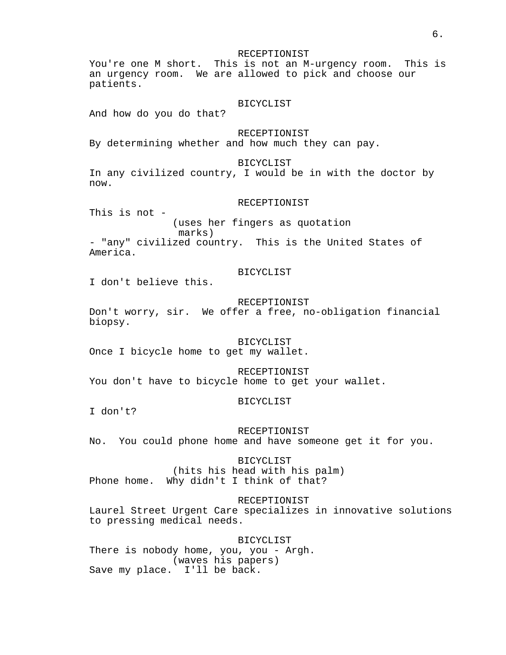RECEPTIONIST

You're one M short. This is not an M-urgency room. This is an urgency room. We are allowed to pick and choose our patients.

#### BICYCLIST

And how do you do that?

RECEPTIONIST

By determining whether and how much they can pay.

# BICYCLIST

In any civilized country, I would be in with the doctor by now.

#### RECEPTIONIST

This is not -

(uses her fingers as quotation marks) - "any" civilized country. This is the United States of America.

# BICYCLIST

I don't believe this.

# RECEPTIONIST

Don't worry, sir. We offer a free, no-obligation financial biopsy.

### BICYCLIST

Once I bicycle home to get my wallet.

RECEPTIONIST You don't have to bicycle home to get your wallet.

#### BICYCLIST

I don't?

RECEPTIONIST No. You could phone home and have someone get it for you.

BICYCLIST (hits his head with his palm) Phone home. Why didn't I think of that?

# RECEPTIONIST

Laurel Street Urgent Care specializes in innovative solutions to pressing medical needs.

BICYCLIST There is nobody home, you, you - Argh. (waves his papers) Save my place. I'll be back.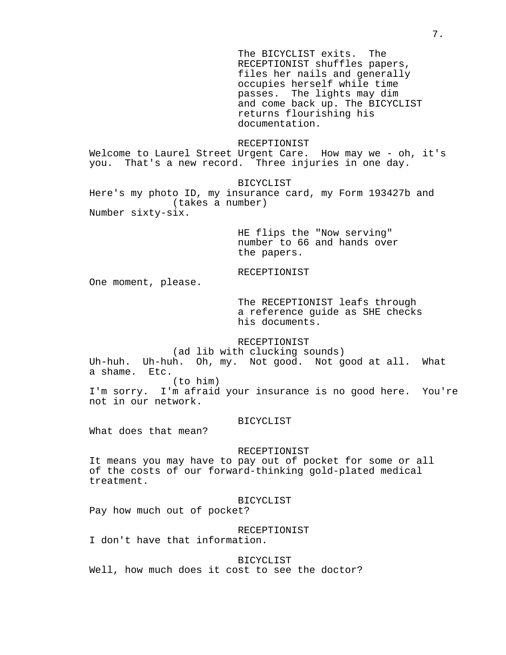The BICYCLIST exits. The RECEPTIONIST shuffles papers, files her nails and generally occupies herself while time passes. The lights may dim and come back up. The BICYCLIST returns flourishing his documentation.

### RECEPTIONIST

Welcome to Laurel Street Urgent Care. How may we - oh, it's you. That's a new record. Three injuries in one day.

BICYCLIST

Here's my photo ID, my insurance card, my Form 193427b and (takes a number) Number sixty-six.

> HE flips the "Now serving" number to 66 and hands over the papers.

# RECEPTIONIST

One moment, please.

The RECEPTIONIST leafs through a reference guide as SHE checks his documents.

# RECEPTIONIST

(ad lib with clucking sounds)

Uh-huh. Uh-huh. Oh, my. Not good. Not good at all. What a shame. Etc.

(to him)

I'm sorry. I'm afraid your insurance is no good here. You're not in our network.

# BICYCLIST

What does that mean?

### RECEPTIONIST

It means you may have to pay out of pocket for some or all of the costs of our forward-thinking gold-plated medical treatment.

### BICYCLIST

Pay how much out of pocket?

RECEPTIONIST

I don't have that information.

BICYCLIST Well, how much does it cost to see the doctor?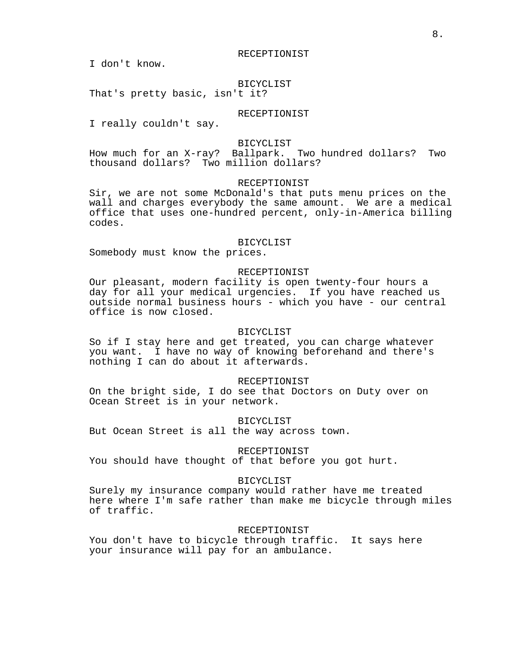I don't know.

# BICYCLIST

That's pretty basic, isn't it?

# RECEPTIONIST

I really couldn't say.

### BICYCLIST

How much for an X-ray? Ballpark. Two hundred dollars? Two thousand dollars? Two million dollars?

### RECEPTIONIST

Sir, we are not some McDonald's that puts menu prices on the wall and charges everybody the same amount. We are a medical office that uses one-hundred percent, only-in-America billing codes.

#### BICYCLIST

Somebody must know the prices.

# RECEPTIONIST

Our pleasant, modern facility is open twenty-four hours a day for all your medical urgencies. If you have reached us outside normal business hours - which you have - our central office is now closed.

# BICYCLIST

So if I stay here and get treated, you can charge whatever you want. I have no way of knowing beforehand and there's nothing I can do about it afterwards.

#### RECEPTIONIST

On the bright side, I do see that Doctors on Duty over on Ocean Street is in your network.

BICYCLIST

But Ocean Street is all the way across town.

# RECEPTIONIST

You should have thought of that before you got hurt.

#### BICYCLIST

Surely my insurance company would rather have me treated here where I'm safe rather than make me bicycle through miles of traffic.

#### RECEPTIONIST

You don't have to bicycle through traffic. It says here your insurance will pay for an ambulance.